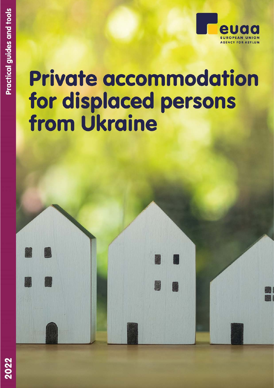# **Private accommodation** for displaced persons from Ukraine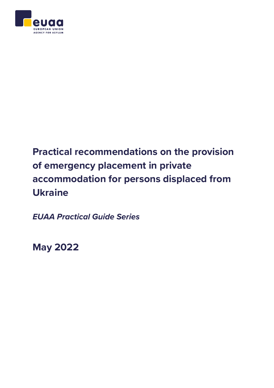

# **Practical recommendations on the provision of emergency placement in private accommodation for persons displaced from Ukraine**

*EUAA Practical Guide Series*

**May 2022**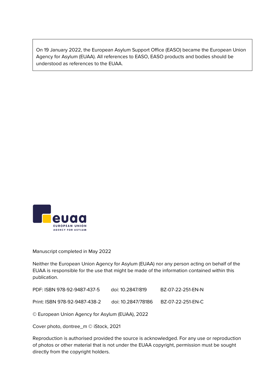On 19 January 2022, the European Asylum Support Office (EASO) became the European Union Agency for Asylum (EUAA). All references to EASO, EASO products and bodies should be understood as references to the EUAA.



Manuscript completed in May 2022

Neither the European Union Agency for Asylum (EUAA) nor any person acting on behalf of the EUAA is responsible for the use that might be made of the information contained within this publication.

| PDF: ISBN 978-92-9487-437-5 | doi: 10.2847/819 | BZ-07-22-251-EN-N |
|-----------------------------|------------------|-------------------|
|                             |                  |                   |

Print: ISBN 978-92-9487-438-2 doi: 10.2847/78186 BZ-07-22-251-EN-C

© European Union Agency for Asylum (EUAA), 2022

Cover photo, dontree\_m © iStock, 2021

Reproduction is authorised provided the source is acknowledged. For any use or reproduction of photos or other material that is not under the EUAA copyright, permission must be sought directly from the copyright holders.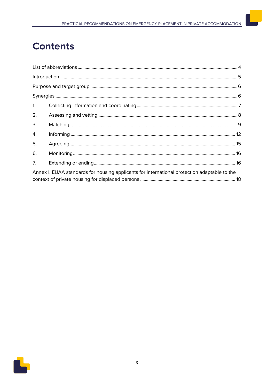# **Contents**

| 1. |                                                                                              |  |
|----|----------------------------------------------------------------------------------------------|--|
| 2. |                                                                                              |  |
| 3. |                                                                                              |  |
| 4. |                                                                                              |  |
| 5. |                                                                                              |  |
| 6. |                                                                                              |  |
| 7. |                                                                                              |  |
|    | Annex I. EUAA standards for housing applicants for international protection adaptable to the |  |
|    |                                                                                              |  |

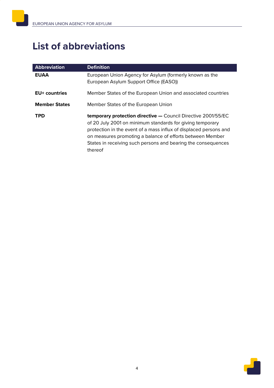# <span id="page-5-0"></span>**List of abbreviations**

| <b>Abbreviation</b>  | <b>Definition</b>                                                                                                                                                                                                                                                                                                                               |
|----------------------|-------------------------------------------------------------------------------------------------------------------------------------------------------------------------------------------------------------------------------------------------------------------------------------------------------------------------------------------------|
| <b>EUAA</b>          | European Union Agency for Asylum (formerly known as the<br>European Asylum Support Office (EASO))                                                                                                                                                                                                                                               |
| <b>EU+</b> countries | Member States of the European Union and associated countries                                                                                                                                                                                                                                                                                    |
| <b>Member States</b> | Member States of the European Union                                                                                                                                                                                                                                                                                                             |
| TPD                  | <b>temporary protection directive - Council Directive 2001/55/EC</b><br>of 20 July 2001 on minimum standards for giving temporary<br>protection in the event of a mass influx of displaced persons and<br>on measures promoting a balance of efforts between Member<br>States in receiving such persons and bearing the consequences<br>thereof |

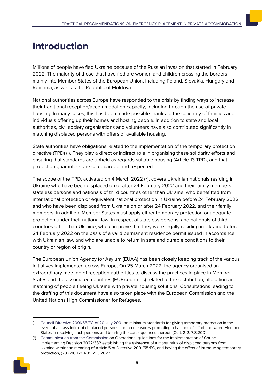# <span id="page-6-0"></span>**Introduction**

Millions of people have fled Ukraine because of the Russian invasion that started in February 2022. The majority of those that have fled are women and children crossing the borders mainly into Member States of the European Union, including Poland, Slovakia, Hungary and Romania, as well as the Republic of Moldova.

National authorities across Europe have responded to the crisis by finding ways to increase their traditional reception/accommodation capacity, including through the use of private housing. In many cases, this has been made possible thanks to the solidarity of families and individuals offering up their homes and hosting people. In addition to state and local authorities, civil society organisations and volunteers have also contributed significantly in matching displaced persons with offers of available housing.

State authorities have obligations related to the implementation of the temporary protection directive (TPD) (<sup>[1](#page-6-1)</sup>). They play a direct or indirect role in organising these solidarity efforts and ensuring that standards are upheld as regards suitable housing (Article 13 TPD), and that protection guarantees are safeguarded and respected.

The scope of the TPD, activated on 4 March [2](#page-6-2)022  $(2)$ , covers Ukrainian nationals residing in Ukraine who have been displaced on or after 24 February 2022 and their family members, stateless persons and nationals of third countries other than Ukraine, who benefitted from international protection or equivalent national protection in Ukraine before 24 February 2022 and who have been displaced from Ukraine on or after 24 February 2022, and their family members. In addition, Member States must apply either temporary protection or adequate protection under their national law, in respect of stateless persons, and nationals of third countries other than Ukraine, who can prove that they were legally residing in Ukraine before 24 February 2022 on the basis of a valid permanent residence permit issued in accordance with Ukrainian law, and who are unable to return in safe and durable conditions to their country or region of origin.

The European Union Agency for Asylum (EUAA) has been closely keeping track of the various initiatives implemented across Europe. On 25 March 2022, the agency organised an extraordinary meeting of reception authorities to discuss the practices in place in Member States and the associated countries (EU+ countries) related to the distribution, allocation and matching of people fleeing Ukraine with private housing solutions. Consultations leading to the drafting of this document have also taken place with the European Commission and the United Nations High Commissioner for Refugees.

<span id="page-6-2"></span><span id="page-6-1"></span><sup>(&</sup>lt;sup>2</sup>) [Communication from the Commission](https://eur-lex.europa.eu/legal-content/EN/TXT/HTML/?uri=CELEX:52022XC0321(03)&from=EN) on Operational guidelines for the implementation of Council implementing Decision 2022/382 establishing the existence of a mass influx of displaced persons from Ukraine within the meaning of Article 5 of Directive 2001/55/EC, and having the effect of introducing temporary protection, (2022/C 126 I/01, 21.3.2022).



<sup>(&</sup>lt;sup>4</sup>) [Council Directive 2001/55/EC of 20 July 2001](https://eur-lex.europa.eu/legal-content/EN/TXT/?uri=celex%3A32001L0055) on minimum standards for giving temporary protection in the event of a mass influx of displaced persons and on measures promoting a balance of efforts between Member States in receiving such persons and bearing the consequences thereof, (OJ L 212, 7.8.2001).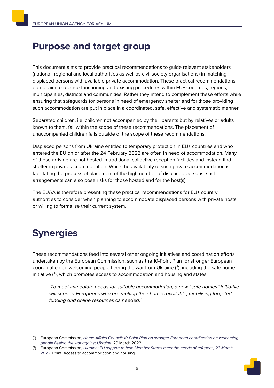## <span id="page-7-0"></span>**Purpose and target group**

This document aims to provide practical recommendations to guide relevant stakeholders (national, regional and local authorities as well as civil society organisations) in matching displaced persons with available private accommodation. These practical recommendations do not aim to replace functioning and existing procedures within EU+ countries, regions, municipalities, districts and communities. Rather they intend to complement these efforts while ensuring that safeguards for persons in need of emergency shelter and for those providing such accommodation are put in place in a coordinated, safe, effective and systematic manner.

Separated children, i.e. children not accompanied by their parents but by relatives or adults known to them, fall within the scope of these recommendations. The placement of unaccompanied children falls outside of the scope of these recommendations.

Displaced persons from Ukraine entitled to temporary protection in EU+ countries and who entered the EU on or after the 24 February 2022 are often in need of accommodation. Many of those arriving are not hosted in traditional collective reception facilities and instead find shelter in private accommodation. While the availability of such private accommodation is facilitating the process of placement of the high number of displaced persons, such arrangements can also pose risks for those hosted and for the host(s).

The EUAA is therefore presenting these practical recommendations for EU+ country authorities to consider when planning to accommodate displaced persons with private hosts or willing to formalise their current system.

# <span id="page-7-1"></span>**Synergies**

These recommendations feed into several other ongoing initiatives and coordination efforts undertaken by the European Commission, such as the 10-Point Plan for stronger European coordination on welcoming people fleeing the war from Ukraine  $(3)$  $(3)$  $(3)$ , including the safe home initiative (<sup>[4](#page-7-3)</sup>), which promotes access to accommodation and housing and states:

*'To meet immediate needs for suitable accommodation, a new "safe homes" initiative will support Europeans who are making their homes available, mobilising targeted funding and online resources as needed.'*

<span id="page-7-3"></span><sup>(</sup> 4) European Commission, *[Ukraine: EU support to help Member States meet the needs of refugees, 23 March](https://ec.europa.eu/commission/presscorner/detail/en/ip_22_1946)  [2022](https://ec.europa.eu/commission/presscorner/detail/en/ip_22_1946)*, Point 'Access to accommodation and housing'.



<span id="page-7-2"></span><sup>(</sup> 3) European Commission, *[Home Affairs Council: 10-Point Plan on stronger European coordination on welcoming](https://ec.europa.eu/neighbourhood-enlargement/news/home-affairs-council-10-point-plan-stronger-european-coordination-welcoming-people-fleeing-war-2022-03-29_en)  [people fleeing the war against Ukraine](https://ec.europa.eu/neighbourhood-enlargement/news/home-affairs-council-10-point-plan-stronger-european-coordination-welcoming-people-fleeing-war-2022-03-29_en)*, 29 March 2022.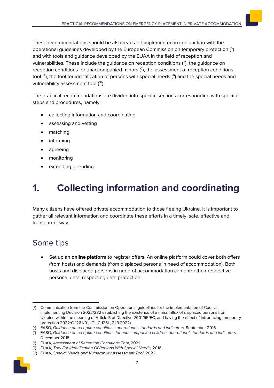These recommendations should be also read and implemented in conjunction with the operational guidelines developed by the European Commission on temporary protection ( [5](#page-8-1) ) and with tools and guidance developed by the EUAA in the field of reception and vulnerabilities. These include the guidance on reception conditions (<sup>[6](#page-8-2)</sup>), the guidance on reception conditions for unaccompanied minors  $(7)$  $(7)$  $(7)$ , the assessment of reception conditions tool ([8](#page-8-4)), the tool for identification of persons with special needs ([9](#page-8-5)) and the special needs and vulnerability assessment tool (<sup>10</sup>).

The practical recommendations are divided into specific sections corresponding with specific steps and procedures, namely:

- collecting information and coordinating
- assessing and vetting
- matching
- informing
- agreeing
- monitoring
- extending or ending.

# <span id="page-8-0"></span>**1. Collecting information and coordinating**

Many citizens have offered private accommodation to those fleeing Ukraine. It is important to gather all relevant information and coordinate these efforts in a timely, safe, effective and transparent way.

### Some tips

• Set up an **online platform** to register offers. An online platform could cover both offers (from hosts) and demands (from displaced persons in need of accommodation). Both hosts and displaced persons in need of accommodation can enter their respective personal data, respecting data protection.

<span id="page-8-6"></span><span id="page-8-5"></span><span id="page-8-4"></span><span id="page-8-3"></span><span id="page-8-2"></span><sup>(</sup> 10) EUAA, *Special Needs and Vulnerability Assessment Tool*, 2022.



<span id="page-8-1"></span><sup>(</sup> 5) [Communication from the Commission](https://eur-lex.europa.eu/legal-content/EN/TXT/?uri=CELEX%3A52022XC0321%2803%29&qid=1647940863274) on Operational guidelines for the implementation of Council implementing Decision 2022/382 establishing the existence of a mass influx of displaced persons from Ukraine within the meaning of Article 5 of Directive 2001/55/EC, and having the effect of introducing temporary protection 2022/C 126 I/01, (OJ C 126I , 21.3.2022)

<sup>(</sup> 6) EASO, *[Guidance on reception conditions: operational standards and indicators,](https://euaa.europa.eu/publications/guidance-reception-conditions-standards-and-indicators)* September 2016.

<sup>(</sup> 7 ) EASO, *[Guidance on reception conditions for unaccompanied children: operational standards and indicators,](https://euaa.europa.eu/publications/guidance-reception-conditions-unaccompanied-children)*  December 2018.

<sup>(</sup> 8) EUAA, *Assessment of [Reception Conditions Tool](https://arc.euaa.europa.eu/)*, 2021.

<sup>(</sup> 9) EUAA, *[Tool For Identification Of Persons With Special Needs,](https://ipsn.easo.europa.eu/ipsn-tool#:%7E:text=IPSN%20tool%20Indicators%20of%20special%20needs%20Mark%20the,without%20requiring%20any%20medical%20or%20other%20expert%20knowledge.)* 2016.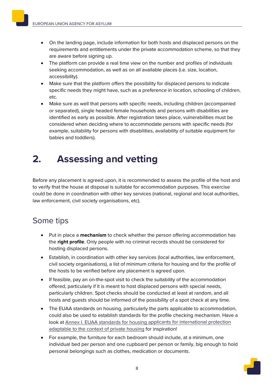- - On the landing page, include information for both hosts and displaced persons on the requirements and entitlements under the private accommodation scheme, so that they are aware before signing up.
	- The platform can provide a real time view on the number and profiles of individuals seeking accommodation, as well as on all available places (i.e. size, location, accessibility).
	- Make sure that the platform offers the possibility for displaced persons to indicate specific needs they might have, such as a preference in location, schooling of children, etc.
	- Make sure as well that persons with specific needs, including children (accompanied or separated), single headed female households and persons with disabilities are identified as early as possible. After registration takes place, vulnerabilities must be considered when deciding where to accommodate persons with specific needs (for example, suitability for persons with disabilities, availability of suitable equipment for babies and toddlers).

### <span id="page-9-0"></span>**2. Assessing and vetting**

Before any placement is agreed upon, it is recommended to assess the profile of the host and to verify that the house at disposal is suitable for accommodation purposes. This exercise could be done in coordination with other key services (national, regional and local authorities, law enforcement, civil society organisations, etc).

### Some tips

- Put in place a **mechanism** to check whether the person offering accommodation has the **right profile**. Only people with no criminal records should be considered for hosting displaced persons.
- Establish, in coordination with other key services (local authorities, law enforcement, civil society organisations), a list of minimum criteria for housing and for the profile of the hosts to be verified before any placement is agreed upon.
- If feasible, pay an on-the-spot visit to check the suitability of the accommodation offered, particularly if it is meant to host displaced persons with special needs, particularly children. Spot checks should be conducted at least at random, and all hosts and guests should be informed of the possibility of a spot check at any time.
- The EUAA standards on housing, particularly the parts applicable to accommodation, could also be used to establish standards for the profile checking mechanism. Have a look at [Annex I. EUAA standards for housing applicants for international protection](#page-19-0)  [adaptable to the context of private housing](#page-19-0) for inspiration!
- For example, the furniture for each bedroom should include, at a minimum, one individual bed per person and one cupboard per person or family, big enough to hold personal belongings such as clothes, medication or documents.

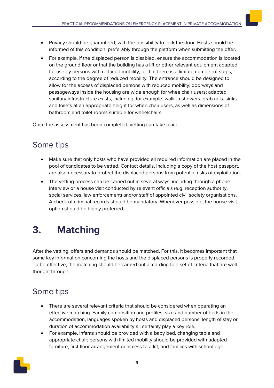- Privacy should be guaranteed, with the possibility to lock the door. Hosts should be informed of this condition, preferably through the platform when submitting the offer.
- For example, if the displaced person is disabled, ensure the accommodation is located on the ground floor or that the building has a lift or other relevant equipment adapted for use by persons with reduced mobility, or that there is a limited number of steps, according to the degree of reduced mobility. The entrance should be designed to allow for the access of displaced persons with reduced mobility; doorways and passageways inside the housing are wide enough for wheelchair users; adapted sanitary infrastructure exists, including, for example, walk-in showers, grab rails, sinks and toilets at an appropriate height for wheelchair users, as well as dimensions of bathroom and toilet rooms suitable for wheelchairs.

Once the assessment has been completed, vetting can take place.

### Some tips

- Make sure that only hosts who have provided all required information are placed in the pool of candidates to be vetted. Contact details, including a copy of the host passport, are also necessary to protect the displaced persons from potential risks of exploitation.
- The vetting process can be carried out in several ways, including through a phone interview or a house visit conducted by relevant officials (e.g. reception authority, social services, law enforcement) and/or staff of appointed civil society organisations. A check of criminal records should be mandatory. Whenever possible, the house visit option should be highly preferred.

# <span id="page-10-0"></span>**3. Matching**

After the vetting, offers and demands should be matched. For this, it becomes important that some key information concerning the hosts and the displaced persons is properly recorded. To be effective, the matching should be carried out according to a set of criteria that are well thought through.

### Some tips

- There are several relevant criteria that should be considered when operating an effective matching. Family composition and profiles, size and number of beds in the accommodation, languages spoken by hosts and displaced persons, length of stay or duration of accommodation availability all certainly play a key role.
- For example, infants should be provided with a baby bed, changing table and appropriate chair; persons with limited mobility should be provided with adapted furniture, first floor arrangement or access to a lift, and families with school-age

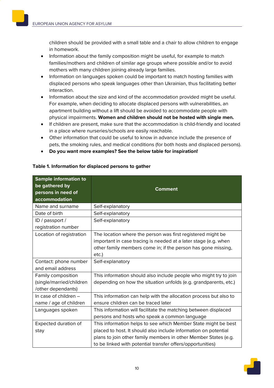children should be provided with a small table and a chair to allow children to engage in homework.

- Information about the family composition might be useful, for example to match families/mothers and children of similar age groups where possible and/or to avoid mothers with many children joining already large families.
- Information on languages spoken could be important to match hosting families with displaced persons who speak languages other than Ukrainian, thus facilitating better interaction.
- Information about the size and kind of the accommodation provided might be useful. For example, when deciding to allocate displaced persons with vulnerabilities, an apartment building without a lift should be avoided to accommodate people with physical impairments. **Women and children should not be hosted with single men.**
- If children are present, make sure that the accommodation is child-friendly and located in a place where nurseries/schools are easily reachable.
- Other information that could be useful to know in advance include the presence of pets, the smoking rules, and medical conditions (for both hosts and displaced persons).
- **Do you want more examples? See the below table for inspiration!**

| <b>Sample information to</b><br>be gathered by<br>persons in need of<br>accommodation | <b>Comment</b>                                                    |
|---------------------------------------------------------------------------------------|-------------------------------------------------------------------|
| Name and surname                                                                      | Self-explanatory                                                  |
| Date of birth                                                                         | Self-explanatory                                                  |
| ID / passport /<br>registration number                                                | Self-explanatory                                                  |
| Location of registration                                                              | The location where the person was first registered might be       |
|                                                                                       | important in case tracing is needed at a later stage (e.g. when   |
|                                                                                       | other family members come in; if the person has gone missing,     |
|                                                                                       | etc.)                                                             |
| Contact: phone number                                                                 | Self-explanatory                                                  |
| and email address                                                                     |                                                                   |
| Family composition                                                                    | This information should also include people who might try to join |
| (single/married/children                                                              | depending on how the situation unfolds (e.g. grandparents, etc.)  |
| /other dependants)                                                                    |                                                                   |
| In case of children -                                                                 | This information can help with the allocation process but also to |
| name / age of children                                                                | ensure children can be traced later                               |
| Languages spoken                                                                      | This information will facilitate the matching between displaced   |
|                                                                                       | persons and hosts who speak a common language                     |
| Expected duration of                                                                  | This information helps to see which Member State might be best    |
| stay                                                                                  | placed to host. It should also include information on potential   |
|                                                                                       | plans to join other family members in other Member States (e.g.   |
|                                                                                       | to be linked with potential transfer offers/opportunities)        |

#### <span id="page-11-0"></span>**Table 1. Information for displaced persons to gather**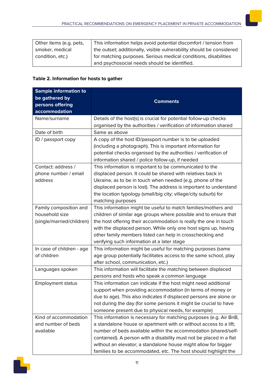| Other items (e.g. pets, | This information helps avoid potential discomfort / tension from     |
|-------------------------|----------------------------------------------------------------------|
| smoker, medical         | the outset; additionally, visible vulnerability should be considered |
| condition, etc.)        | for matching purposes. Serious medical conditions, disabilities      |
|                         | and psychosocial needs should be identified.                         |

#### <span id="page-12-0"></span>**Table 2. Information for hosts to gather**

| <b>Sample information to</b> |                                                                     |
|------------------------------|---------------------------------------------------------------------|
| be gathered by               | <b>Comments</b>                                                     |
| persons offering             |                                                                     |
| accommodation                |                                                                     |
| Name/surname                 | Details of the host(s) is crucial for potential follow-up checks    |
|                              | organised by the authorities / verification of information shared   |
| Date of birth                | Same as above                                                       |
| ID / passport copy           | A copy of the host ID/passport number is to be uploaded             |
|                              | (including a photograph). This is important information for         |
|                              | potential checks organised by the authorities / verification of     |
|                              | information shared / police follow-up, if needed                    |
| Contact: address /           | This information is important to be communicated to the             |
| phone number / email         | displaced person. It could be shared with relatives back in         |
| address                      | Ukraine, as to be in touch when needed (e.g. phone of the           |
|                              | displaced person is lost). The address is important to understand   |
|                              | the location typology (small/big city; village/city suburb) for     |
|                              | matching purposes                                                   |
| Family composition and       | This information might be useful to match families/mothers and      |
| household size               | children of similar age groups where possible and to ensure that    |
| (single/married/children)    | the host offering their accommodation is really the one in touch    |
|                              | with the displaced person. While only one host signs up, having     |
|                              | other family members listed can help in crosschecking and           |
|                              | verifying such information at a later stage                         |
| In case of children - age    | This information might be useful for matching purposes (same        |
| of children                  | age group potentially facilitates access to the same school, play   |
|                              | after school, communication, etc.)                                  |
| Languages spoken             | This information will facilitate the matching between displaced     |
|                              | persons and hosts who speak a common language                       |
| <b>Employment status</b>     | This information can indicate if the host might need additional     |
|                              | support when providing accommodation (in terms of money or          |
|                              | due to age). This also indicates if displaced persons are alone or  |
|                              | not during the day (for some persons it might be crucial to have    |
|                              | someone present due to physical needs, for example)                 |
| Kind of accommodation        | This information is necessary for matching purposes (e.g. Air BnB,  |
| and number of beds           | a standalone house or apartment with or without access to a lift;   |
| available                    | number of beds available within the accommodation (shared/self-     |
|                              | contained). A person with a disability must not be placed in a flat |
|                              | without an elevator; a standalone house might allow for bigger      |
|                              | families to be accommodated, etc. The host should highlight the     |

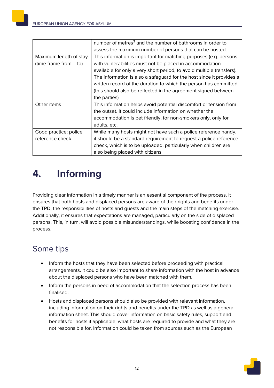|                          | number of metres <sup>2</sup> and the number of bathrooms in order to |
|--------------------------|-----------------------------------------------------------------------|
|                          | assess the maximum number of persons that can be hosted.              |
| Maximum length of stay   | This information is important for matching purposes (e.g. persons     |
| (time frame from $-$ to) | with vulnerabilities must not be placed in accommodation              |
|                          | available for only a very short period, to avoid multiple transfers). |
|                          | The information is also a safeguard for the host since it provides a  |
|                          | written record of the duration to which the person has committed      |
|                          | (this should also be reflected in the agreement signed between        |
|                          | the parties)                                                          |
| Other items              | This information helps avoid potential discomfort or tension from     |
|                          | the outset. It could include information on whether the               |
|                          | accommodation is pet friendly, for non-smokers only, only for         |
|                          | adults, etc.                                                          |
| Good practice: police    | While many hosts might not have such a police reference handy,        |
| reference check          | it should be a standard requirement to request a police reference     |
|                          | check, which is to be uploaded, particularly when children are        |
|                          | also being placed with citizens                                       |

## <span id="page-13-0"></span>**4. Informing**

Providing clear information in a timely manner is an essential component of the process. It ensures that both hosts and displaced persons are aware of their rights and benefits under the TPD, the responsibilities of hosts and guests and the main steps of the matching exercise. Additionally, it ensures that expectations are managed, particularly on the side of displaced persons. This, in turn, will avoid possible misunderstandings, while boosting confidence in the process.

### Some tips

- Inform the hosts that they have been selected before proceeding with practical arrangements. It could be also important to share information with the host in advance about the displaced persons who have been matched with them.
- Inform the persons in need of accommodation that the selection process has been finalised.
- Hosts and displaced persons should also be provided with relevant information, including information on their rights and benefits under the TPD as well as a general information sheet. This should cover information on basic safety rules, support and benefits for hosts if applicable, what hosts are required to provide and what they are not responsible for. Information could be taken from sources such as the European

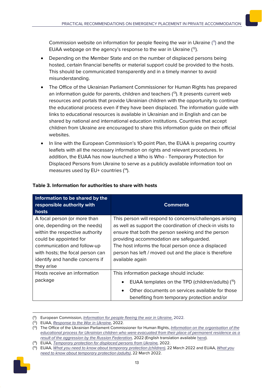Commission website on information for people fleeing the war in Ukraine (<sup>[11](#page-14-0)</sup>) and the EUAA webpage on the agency's response to the war in Ukraine (<sup>12</sup>).

- Depending on the Member State and on the number of displaced persons being hosted, certain financial benefits or material support could be provided to the hosts. This should be communicated transparently and in a timely manner to avoid misunderstanding.
- The Office of the Ukrainian Parliament Commissioner for Human Rights has prepared an information quide for parents, children and teachers  $(13)$  $(13)$  $(13)$ . It presents current web resources and portals that provide Ukrainian children with the opportunity to continue the educational process even if they have been displaced. The information guide with links to educational resources is available in Ukrainian and in English and can be shared by national and international education institutions. Countries that accept children from Ukraine are encouraged to share this information guide on their official websites.
- In line with the European Commission's 10-point Plan, the EUAA is preparing country leaflets with all the necessary information on rights and relevant procedures. In addition, the EUAA has now launched a Who is Who - Temporary Protection for Displaced Persons from Ukraine to serve as a publicly available information tool on measures used by EU+ countries ([14](#page-14-3)).

| Information to be shared by the<br>responsible authority with<br>hosts | <b>Comments</b>                                           |
|------------------------------------------------------------------------|-----------------------------------------------------------|
| A focal person (or more than                                           | This person will respond to concerns/challenges arising   |
| one, depending on the needs)                                           | as well as support the coordination of check-in visits to |
| within the respective authority                                        | ensure that both the person seeking and the person        |
| could be appointed for                                                 | providing accommodation are safeguarded.                  |
| communication and follow-up                                            | The host informs the focal person once a displaced        |
| with hosts; the focal person can                                       | person has left / moved out and the place is therefore    |

available again

This information package should include:

• EUAA templates on the TPD (children/adults)  $(^{15})$ 

• Other documents on services available for those benefiting from temporary protection and/or

#### <span id="page-14-5"></span>**Table 3. Information for authorities to share with hosts**

identify and handle concerns if

Hosts receive an information

they arise

package

<span id="page-14-4"></span><span id="page-14-3"></span><span id="page-14-2"></span><span id="page-14-1"></span><span id="page-14-0"></span><sup>(</sup> 15) EUAA, *What you need to know about temporary protection (children)*, 22 March 2022 and EUAA, *[What you](https://euaa.europa.eu/publications/what-you-need-know-about-temporary-protection-adults)  [need to know about temporary protection \(adults\)](https://euaa.europa.eu/publications/what-you-need-know-about-temporary-protection-adults)*, 22 March 2022.



<sup>(</sup> 11) European Commission, *[Information for people fleeing the war in Ukraine](https://ec.europa.eu/info/strategy/priorities-2019-2024/stronger-europe-world/eu-solidarity-ukraine/eu-assistance-ukraine/information-people-fleeing-war-ukraine_en)*, 2022.

<sup>(</sup> 12) EUAA, *[Response to the War in Ukraine](https://euaa.europa.eu/euaa-response-war-ukraine#:%7E:text=EUAA%20Response%20to%20the%20War%20in%20Ukraine%20The,in%20condemning%20the%20unprovoked%20armed%20invasion%20of%20Ukraine.)*, 2022.

<sup>(</sup> 13) The Office of the Ukrainian Parliament Commissioner for Human Rights, *[Information on the organisation of the](https://rm.coe.int/-/1680a5eaa0)  [educational process for Ukrainian children who were evacuated from their place of permanent residence as a](https://rm.coe.int/-/1680a5eaa0)  [result of the aggression by the Russian Federation,](https://rm.coe.int/-/1680a5eaa0)* 2022 (English translation availabl[e here\)](https://rm.coe.int/information-educational-sources-for-ukrainian-children-en-/1680a5ea9f).

<sup>(</sup> 14) EUAA, *[Temporary protection for displaced persons from Ukraine,](https://whoiswho.euaa.europa.eu/temporary-protection)* 2022.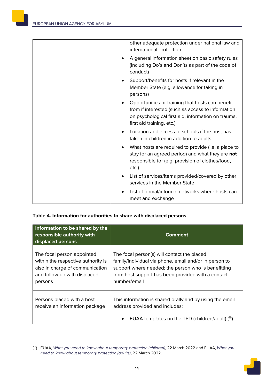|           | other adequate protection under national law and<br>international protection                                                                                                             |
|-----------|------------------------------------------------------------------------------------------------------------------------------------------------------------------------------------------|
| ٠         | A general information sheet on basic safety rules<br>(including Do's and Don'ts as part of the code of<br>conduct)                                                                       |
| ٠         | Support/benefits for hosts if relevant in the<br>Member State (e.g. allowance for taking in<br>persons)                                                                                  |
| ٠         | Opportunities or training that hosts can benefit<br>from if interested (such as access to information<br>on psychological first aid, information on trauma,<br>first aid training, etc.) |
| $\bullet$ | Location and access to schools if the host has<br>taken in children in addition to adults                                                                                                |
| ٠         | What hosts are required to provide (i.e. a place to<br>stay for an agreed period) and what they are not<br>responsible for (e.g. provision of clothes/food,<br>etc.)                     |
| $\bullet$ | List of services/items provided/covered by other<br>services in the Member State                                                                                                         |
| ٠         | List of formal/informal networks where hosts can<br>meet and exchange                                                                                                                    |

#### <span id="page-15-1"></span>**Table 4. Information for authorities to share with displaced persons**

| Information to be shared by the<br>responsible authority with<br>displaced persons                                                             | Comment                                                                                                                                                                                                                            |
|------------------------------------------------------------------------------------------------------------------------------------------------|------------------------------------------------------------------------------------------------------------------------------------------------------------------------------------------------------------------------------------|
| The focal person appointed<br>within the respective authority is<br>also in charge of communication<br>and follow-up with displaced<br>persons | The focal person(s) will contact the placed<br>family/individual via phone, email and/or in person to<br>support where needed; the person who is benefitting<br>from host support has been provided with a contact<br>number/email |
| Persons placed with a host<br>receive an information package                                                                                   | This information is shared orally and by using the email<br>address provided and includes:<br>EUAA templates on the TPD (children/adult) ( <sup>16</sup> )<br>$\bullet$                                                            |

<span id="page-15-0"></span><sup>(</sup> 16) EUAA, *What you need to know about temporary protection (children)*, 22 March 2022 and EUAA, *[What you](https://euaa.europa.eu/publications/what-you-need-know-about-temporary-protection-adults)  [need to know about temporary protection \(adults\)](https://euaa.europa.eu/publications/what-you-need-know-about-temporary-protection-adults)*, 22 March 2022.

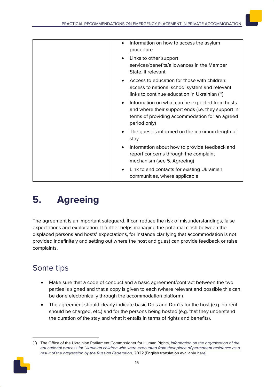| Information on how to access the asylum<br>$\bullet$<br>procedure                                                                                                                   |
|-------------------------------------------------------------------------------------------------------------------------------------------------------------------------------------|
| Links to other support<br>$\bullet$<br>services/benefits/allowances in the Member<br>State, if relevant                                                                             |
| Access to education for those with children:<br>access to national school system and relevant<br>links to continue education in Ukrainian $(17)$                                    |
| Information on what can be expected from hosts<br>$\bullet$<br>and where their support ends (i.e. they support in<br>terms of providing accommodation for an agreed<br>period only) |
| The guest is informed on the maximum length of<br>٠<br>stay                                                                                                                         |
| Information about how to provide feedback and<br>$\bullet$<br>report concerns through the complaint<br>mechanism (see 5. Agreeing)                                                  |
| Link to and contacts for existing Ukrainian<br>٠<br>communities, where applicable                                                                                                   |

# <span id="page-16-0"></span>**5. Agreeing**

The agreement is an important safeguard. It can reduce the risk of misunderstandings, false expectations and exploitation. It further helps managing the potential clash between the displaced persons and hosts' expectations, for instance clarifying that accommodation is not provided indefinitely and setting out where the host and guest can provide feedback or raise complaints.

### Some tips

- Make sure that a code of conduct and a basic agreement/contract between the two parties is signed and that a copy is given to each (where relevant and possible this can be done electronically through the accommodation platform)
- The agreement should clearly indicate basic Do's and Don'ts for the host (e.g. no rent should be charged, etc.) and for the persons being hosted (e.g. that they understand the duration of the stay and what it entails in terms of rights and benefits).

<span id="page-16-1"></span><sup>(</sup> 17) The Office of the Ukrainian Parliament Commissioner for Human Rights, *[Information on the organisation of the](https://rm.coe.int/-/1680a5eaa0)  educational [process for Ukrainian children who were evacuated from their place of permanent residence as a](https://rm.coe.int/-/1680a5eaa0)  [result of the aggression by the Russian Federation,](https://rm.coe.int/-/1680a5eaa0)* 2022 (English translation availabl[e here\)](https://rm.coe.int/information-educational-sources-for-ukrainian-children-en-/1680a5ea9f).

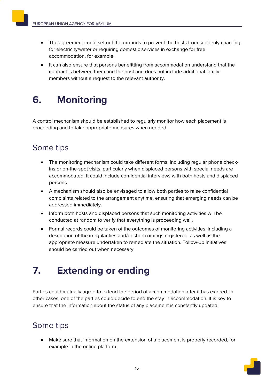- The agreement could set out the grounds to prevent the hosts from suddenly charging for electricity/water or requiring domestic services in exchange for free accommodation, for example.
- It can also ensure that persons benefitting from accommodation understand that the contract is between them and the host and does not include additional family members without a request to the relevant authority.

# <span id="page-17-0"></span>**6. Monitoring**

A control mechanism should be established to regularly monitor how each placement is proceeding and to take appropriate measures when needed.

### Some tips

- The monitoring mechanism could take different forms, including regular phone checkins or on-the-spot visits, particularly when displaced persons with special needs are accommodated. It could include confidential interviews with both hosts and displaced persons.
- A mechanism should also be envisaged to allow both parties to raise confidential complaints related to the arrangement anytime, ensuring that emerging needs can be addressed immediately.
- Inform both hosts and displaced persons that such monitoring activities will be conducted at random to verify that everything is proceeding well.
- Formal records could be taken of the outcomes of monitoring activities, including a description of the irregularities and/or shortcomings registered, as well as the appropriate measure undertaken to remediate the situation. Follow-up initiatives should be carried out when necessary.

### <span id="page-17-1"></span>**7. Extending or ending**

Parties could mutually agree to extend the period of accommodation after it has expired. In other cases, one of the parties could decide to end the stay in accommodation. It is key to ensure that the information about the status of any placement is constantly updated.

### Some tips

• Make sure that information on the extension of a placement is properly recorded, for example in the online platform.

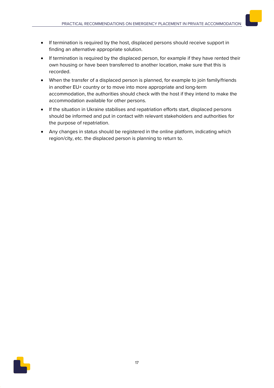- If termination is required by the host, displaced persons should receive support in finding an alternative appropriate solution.
- If termination is required by the displaced person, for example if they have rented their own housing or have been transferred to another location, make sure that this is recorded.
- When the transfer of a displaced person is planned, for example to join family/friends in another EU+ country or to move into more appropriate and long-term accommodation, the authorities should check with the host if they intend to make the accommodation available for other persons.
- If the situation in Ukraine stabilises and repatriation efforts start, displaced persons should be informed and put in contact with relevant stakeholders and authorities for the purpose of repatriation.
- Any changes in status should be registered in the online platform, indicating which region/city, etc. the displaced person is planning to return to.

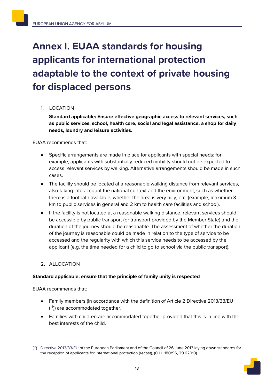# <span id="page-19-0"></span>**Annex I. EUAA standards for housing applicants for international protection adaptable to the context of private housing for displaced persons**

### 1. LOCATION

**Standard applicable: Ensure effective geographic access to relevant services, such as public services, school, health care, social and legal assistance, a shop for daily needs, laundry and leisure activities.**

EUAA recommends that:

- Specific arrangements are made in place for applicants with special needs: for example, applicants with substantially reduced mobility should not be expected to access relevant services by walking. Alternative arrangements should be made in such cases.
- The facility should be located at a reasonable walking distance from relevant services, also taking into account the national context and the environment, such as whether there is a footpath available, whether the area is very hilly, etc. (example, maximum 3 km to public services in general and 2 km to health care facilities and school).
- If the facility is not located at a reasonable walking distance, relevant services should be accessible by public transport (or transport provided by the Member State) and the duration of the journey should be reasonable. The assessment of whether the duration of the journey is reasonable could be made in relation to the type of service to be accessed and the regularity with which this service needs to be accessed by the applicant (e.g. the time needed for a child to go to school via the public transport).

#### 2. ALLOCATION

#### **Standard applicable: ensure that the principle of family unity is respected**

- Family members (in accordance with the definition of Article 2 Directive 2013/33/EU ( [18\)](#page-19-1)) are accommodated together.
- Families with children are accommodated together provided that this is in line with the best interests of the child.

<span id="page-19-1"></span><sup>(&</sup>lt;sup>18</sup>) [Directive 2013/33/EU](https://eur-lex.europa.eu/legal-content/EN/TXT/?uri=celex%3A32013L0033) of the European Parliament and of the Council of 26 June 2013 laying down standards for the reception of applicants for international protection (recast), (OJ L 180/96, 29.62013)

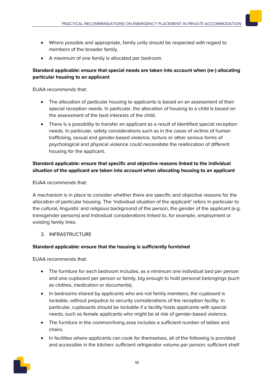- Where possible and appropriate, family unity should be respected with regard to members of the broader family.
- A maximum of one family is allocated per bedroom.

#### **Standard applicable: ensure that special needs are taken into account when (re-) allocating particular housing to an applicant**

EUAA recommends that:

- The allocation of particular housing to applicants is based on an assessment of their special reception needs. In particular, the allocation of housing to a child is based on the assessment of the best interests of the child.
- There is a possibility to transfer an applicant as a result of identified special reception needs. In particular, safety considerations such as in the cases of victims of human trafficking, sexual and gender-based violence, torture or other serious forms of psychological and physical violence could necessitate the reallocation of different housing for the applicant.

### **Standard applicable: ensure that specific and objective reasons linked to the individual situation of the applicant are taken into account when allocating housing to an applicant**

EUAA recommends that:

A mechanism is in place to consider whether there are specific and objective reasons for the allocation of particular housing. The 'individual situation of the applicant' refers in particular to the cultural, linguistic and religious background of the person, the gender of the applicant (e.g. transgender persons) and individual considerations linked to, for example, employment or existing family links.

3. INFRASTRUCTURE

### **Standard applicable: ensure that the housing is sufficiently furnished**

- The furniture for each bedroom includes, as a minimum one individual bed per person and one cupboard per person or family, big enough to hold personal belongings (such as clothes, medication or documents).
- In bedrooms shared by applicants who are not family members, the cupboard is lockable, without prejudice to security considerations of the reception facility. In particular, cupboards should be lockable if a facility hosts applicants with special needs, such as female applicants who might be at risk of gender-based violence.
- The furniture in the common/living area includes a sufficient number of tables and chairs.
- In facilities where applicants can cook for themselves, all of the following is provided and accessible in the kitchen: sufficient refrigerator volume per person; sufficient shelf

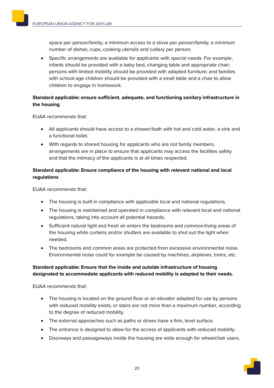space per person/family; a minimum access to a stove per person/family; a minimum number of dishes, cups, cooking utensils and cutlery per person.

• Specific arrangements are available for applicants with special needs. For example, infants should be provided with a baby bed, changing table and appropriate chair; persons with limited mobility should be provided with adapted furniture; and families with school-age children should be provided with a small table and a chair to allow children to engage in homework.

#### **Standard applicable: ensure sufficient, adequate, and functioning sanitary infrastructure in the housing**

EUAA recommends that:

- All applicants should have access to a shower/bath with hot and cold water, a sink and a functional toilet.
- With regards to shared housing for applicants who are not family members, arrangements are in place to ensure that applicants may access the facilities safely and that the intimacy of the applicants is at all times respected.

#### **Standard applicable: Ensure compliance of the housing with relevant national and local regulations**

EUAA recommends that:

- The housing is built in compliance with applicable local and national regulations.
- The housing is maintained and operated in compliance with relevant local and national regulations, taking into account all potential hazards.
- Sufficient natural light and fresh air enters the bedrooms and common/living areas of the housing while curtains and/or shutters are available to shut out the light when needed.
- The bedrooms and common areas are protected from excessive environmental noise. Environmental noise could for example be caused by machines, airplanes, trains, etc.

#### **Standard applicable: Ensure that the inside and outside infrastructure of housing designated to accommodate applicants with reduced mobility is adapted to their needs.**

- The housing is located on the ground floor or an elevator adapted for use by persons with reduced mobility exists; or stairs are not more than a maximum number, according to the degree of reduced mobility.
- The external approaches such as paths or drives have a firm, level surface.
- The entrance is designed to allow for the access of applicants with reduced mobility.
- Doorways and passageways inside the housing are wide enough for wheelchair users.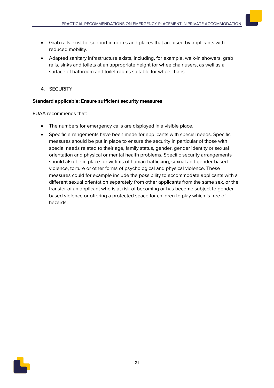- Grab rails exist for support in rooms and places that are used by applicants with reduced mobility.
- Adapted sanitary infrastructure exists, including, for example, walk-in showers, grab rails, sinks and toilets at an appropriate height for wheelchair users, as well as a surface of bathroom and toilet rooms suitable for wheelchairs.
- 4. SECURITY

#### **Standard applicable: Ensure sufficient security measures**

- The numbers for emergency calls are displayed in a visible place.
- Specific arrangements have been made for applicants with special needs. Specific measures should be put in place to ensure the security in particular of those with special needs related to their age, family status, gender, gender identity or sexual orientation and physical or mental health problems. Specific security arrangements should also be in place for victims of human trafficking, sexual and gender-based violence, torture or other forms of psychological and physical violence. These measures could for example include the possibility to accommodate applicants with a different sexual orientation separately from other applicants from the same sex, or the transfer of an applicant who is at risk of becoming or has become subject to genderbased violence or offering a protected space for children to play which is free of hazards.

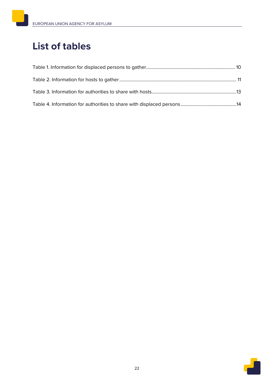# **List of tables**